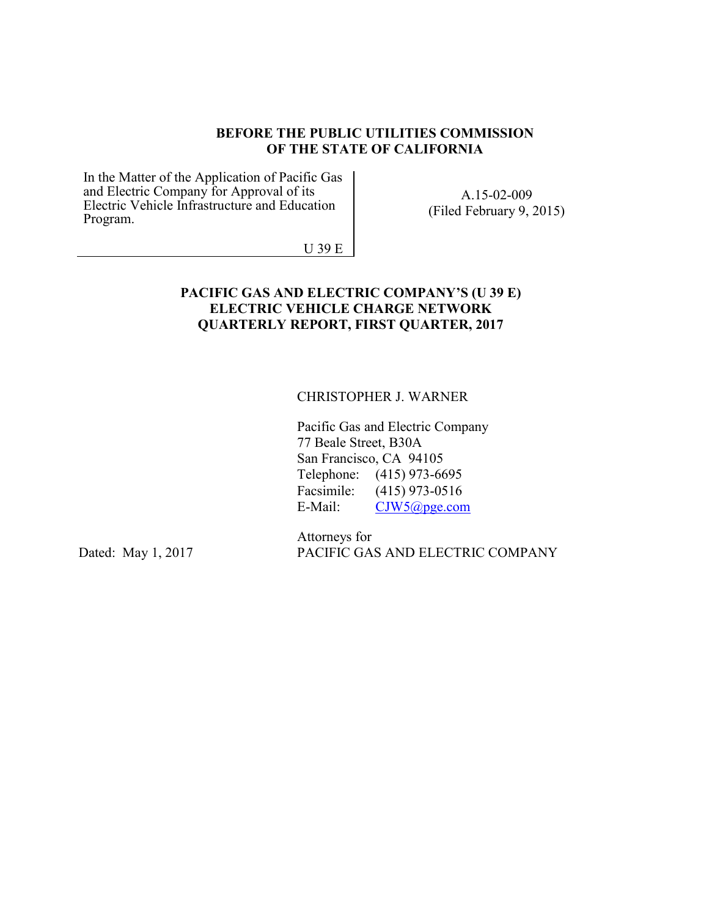#### **BEFORE THE PUBLIC UTILITIES COMMISSION OF THE STATE OF CALIFORNIA**

In the Matter of the Application of Pacific Gas and Electric Company for Approval of its Electric Vehicle Infrastructure and Education Program.

A.15-02-009 (Filed February 9, 2015)

U 39 E

#### **PACIFIC GAS AND ELECTRIC COMPANY'S (U 39 E) ELECTRIC VEHICLE CHARGE NETWORK QUARTERLY REPORT, FIRST QUARTER, 2017**

#### CHRISTOPHER J. WARNER

Pacific Gas and Electric Company 77 Beale Street, B30A San Francisco, CA 94105 Telephone: (415) 973-6695 Facsimile: (415) 973-0516 E-Mail: CJW5@pge.com

Dated: May 1, 2017

Attorneys for PACIFIC GAS AND ELECTRIC COMPANY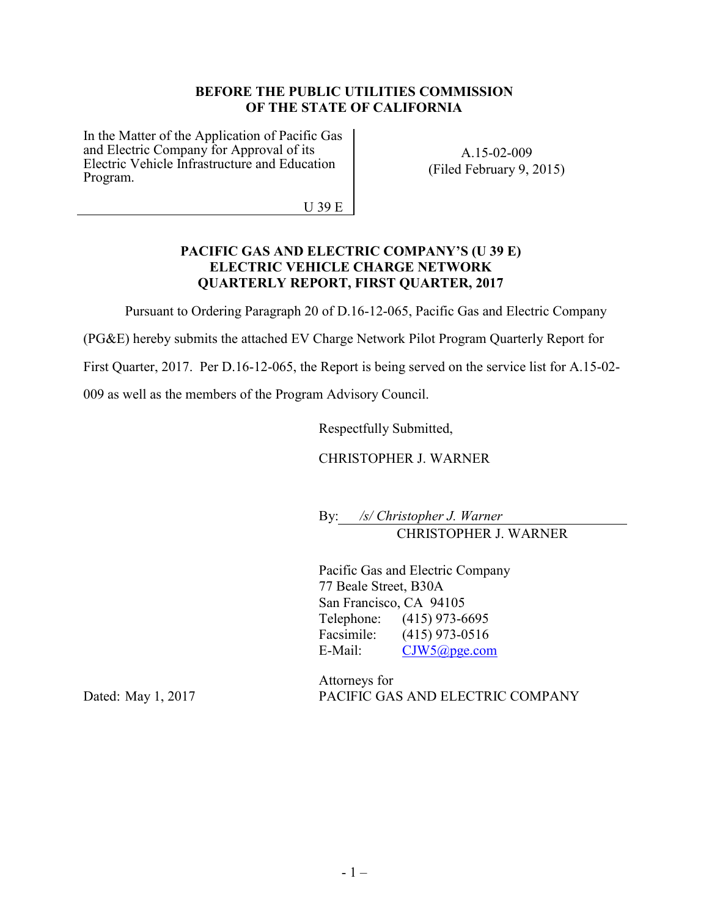#### **BEFORE THE PUBLIC UTILITIES COMMISSION OF THE STATE OF CALIFORNIA**

In the Matter of the Application of Pacific Gas and Electric Company for Approval of its Electric Vehicle Infrastructure and Education Program.

A.15-02-009 (Filed February 9, 2015)

U 39 E

#### **PACIFIC GAS AND ELECTRIC COMPANY'S (U 39 E) ELECTRIC VEHICLE CHARGE NETWORK QUARTERLY REPORT, FIRST QUARTER, 2017**

Pursuant to Ordering Paragraph 20 of D.16-12-065, Pacific Gas and Electric Company

(PG&E) hereby submits the attached EV Charge Network Pilot Program Quarterly Report for

First Quarter, 2017. Per D.16-12-065, the Report is being served on the service list for A.15-02-

009 as well as the members of the Program Advisory Council.

Respectfully Submitted,

CHRISTOPHER J. WARNER

By: */s/ Christopher J. Warner* CHRISTOPHER J. WARNER

Pacific Gas and Electric Company 77 Beale Street, B30A San Francisco, CA 94105 Telephone: (415) 973-6695 Facsimile: (415) 973-0516 E-Mail: CJW5@pge.com

Dated: May 1, 2017

Attorneys for PACIFIC GAS AND ELECTRIC COMPANY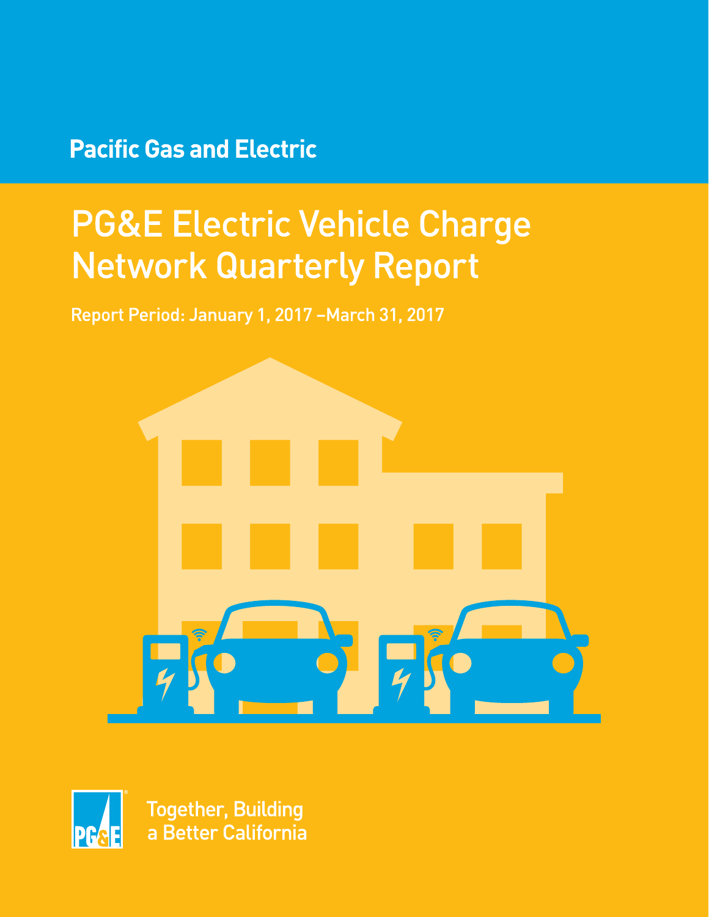# **Pacific Gas and Electric**

# **PG&E Electric Vehicle Charge Network Quarterly Report**

Report Period: January 1, 2017 - March 31, 2017





**Together, Building** a Better California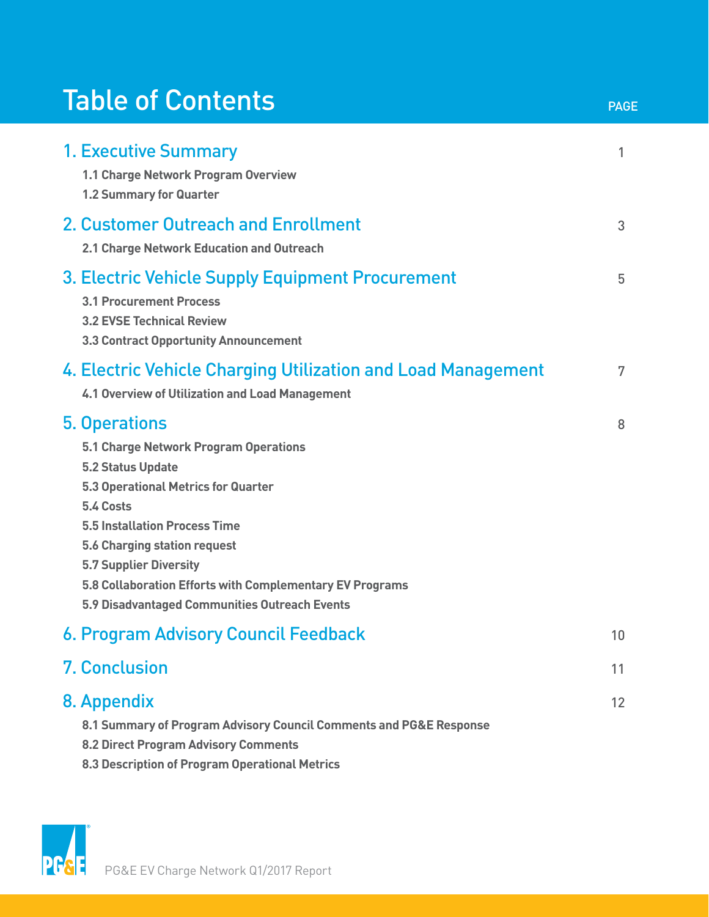# Table of Contents

| <b>1. Executive Summary</b><br>1.1 Charge Network Program Overview<br>1.2 Summary for Quarter                                                                                                                                                                                                                                                                              | 1  |
|----------------------------------------------------------------------------------------------------------------------------------------------------------------------------------------------------------------------------------------------------------------------------------------------------------------------------------------------------------------------------|----|
| 2. Customer Outreach and Enrollment<br>2.1 Charge Network Education and Outreach                                                                                                                                                                                                                                                                                           | 3  |
| 3. Electric Vehicle Supply Equipment Procurement<br><b>3.1 Procurement Process</b><br><b>3.2 EVSE Technical Review</b><br><b>3.3 Contract Opportunity Announcement</b>                                                                                                                                                                                                     | 5  |
| 4. Electric Vehicle Charging Utilization and Load Management<br>4.1 Overview of Utilization and Load Management                                                                                                                                                                                                                                                            | 7  |
| 5. Operations<br>5.1 Charge Network Program Operations<br><b>5.2 Status Update</b><br><b>5.3 Operational Metrics for Quarter</b><br>5.4 Costs<br><b>5.5 Installation Process Time</b><br><b>5.6 Charging station request</b><br><b>5.7 Supplier Diversity</b><br>5.8 Collaboration Efforts with Complementary EV Programs<br>5.9 Disadvantaged Communities Outreach Events | 8  |
| 6. Program Advisory Council Feedback                                                                                                                                                                                                                                                                                                                                       | 10 |
| <b>7. Conclusion</b>                                                                                                                                                                                                                                                                                                                                                       | 11 |
| 8. Appendix<br>8.1 Summary of Program Advisory Council Comments and PG&E Response<br><b>8.2 Direct Program Advisory Comments</b><br>8.3 Description of Program Operational Metrics                                                                                                                                                                                         | 12 |

PAGE

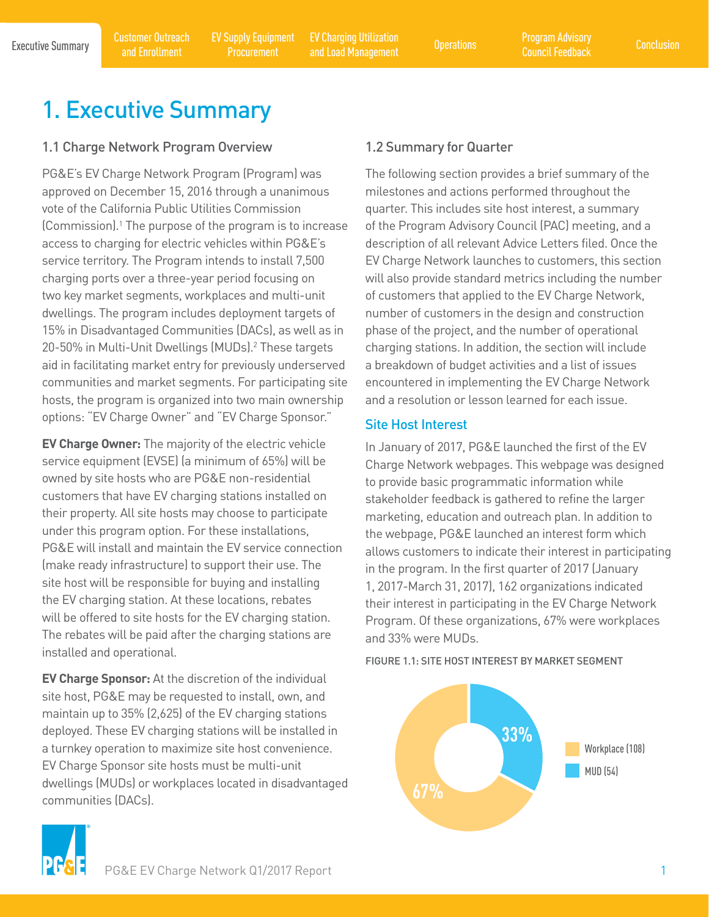EV Supply Equipment Procurement

Executive Summary Customer Outreach EV Supply Equipment EV Charging Utilization Poperations Program Advisory Conclusion<br>Conclusion Conclusion Programent and LockManagement Operations Council Ecodesic Conclusion EV Charging Utilization and Load Management Operations Program Advisory

# 1. Executive Summary

# 1.1 Charge Network Program Overview

PG&E's EV Charge Network Program (Program) was approved on December 15, 2016 through a unanimous vote of the California Public Utilities Commission (Commission).1 The purpose of the program is to increase access to charging for electric vehicles within PG&E's service territory. The Program intends to install 7,500 charging ports over a three-year period focusing on two key market segments, workplaces and multi-unit dwellings. The program includes deployment targets of 15% in Disadvantaged Communities (DACs), as well as in 20-50% in Multi-Unit Dwellings (MUDs).2 These targets aid in facilitating market entry for previously underserved communities and market segments. For participating site hosts, the program is organized into two main ownership options: "EV Charge Owner" and "EV Charge Sponsor."

**EV Charge Owner:** The majority of the electric vehicle service equipment (EVSE) (a minimum of 65%) will be owned by site hosts who are PG&E non-residential customers that have EV charging stations installed on their property. All site hosts may choose to participate under this program option. For these installations, PG&E will install and maintain the EV service connection (make ready infrastructure) to support their use. The site host will be responsible for buying and installing the EV charging station. At these locations, rebates will be offered to site hosts for the EV charging station. The rebates will be paid after the charging stations are installed and operational.

**EV Charge Sponsor:** At the discretion of the individual site host, PG&E may be requested to install, own, and maintain up to 35% (2,625) of the EV charging stations deployed. These EV charging stations will be installed in a turnkey operation to maximize site host convenience. EV Charge Sponsor site hosts must be multi-unit dwellings (MUDs) or workplaces located in disadvantaged communities (DACs).

# 1.2 Summary for Quarter

The following section provides a brief summary of the milestones and actions performed throughout the quarter. This includes site host interest, a summary of the Program Advisory Council (PAC) meeting, and a description of all relevant Advice Letters filed. Once the EV Charge Network launches to customers, this section will also provide standard metrics including the number of customers that applied to the EV Charge Network, number of customers in the design and construction phase of the project, and the number of operational charging stations. In addition, the section will include a breakdown of budget activities and a list of issues encountered in implementing the EV Charge Network and a resolution or lesson learned for each issue.

# Site Host Interest

In January of 2017, PG&E launched the first of the EV Charge Network webpages. This webpage was designed to provide basic programmatic information while stakeholder feedback is gathered to refine the larger marketing, education and outreach plan. In addition to the webpage, PG&E launched an interest form which allows customers to indicate their interest in participating in the program. In the first quarter of 2017 (January 1, 2017-March 31, 2017), 162 organizations indicated their interest in participating in the EV Charge Network Program. Of these organizations, 67% were workplaces and 33% were MUDs.

FIGURE 1.1: SITE HOST INTEREST BY MARKET SEGMENT



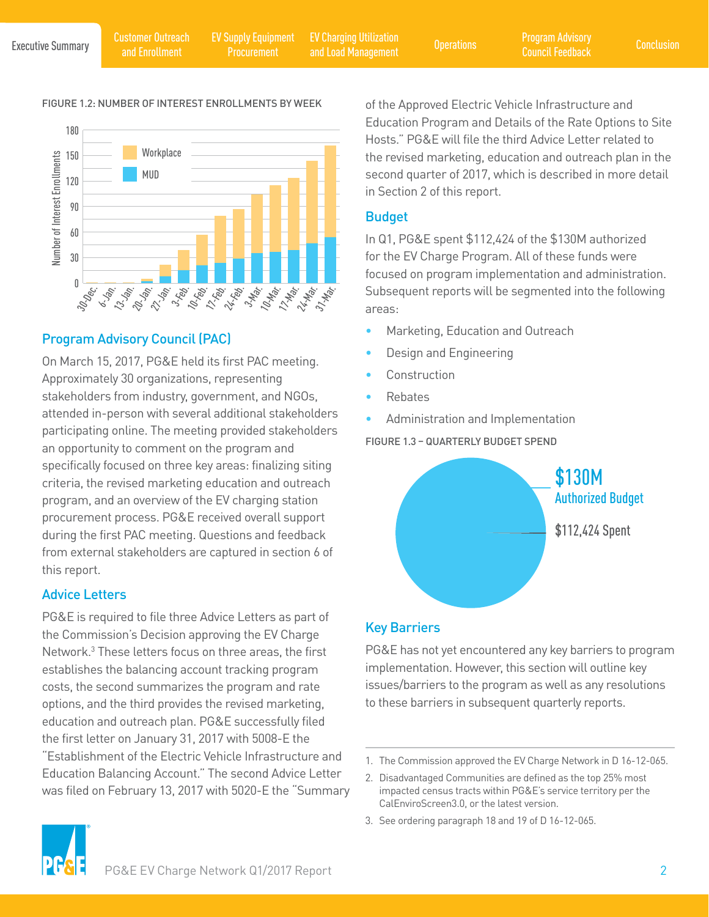EV Charging Utilization and Load Management Operations Program Advisory

#### FIGURE 1.2: NUMBER OF INTEREST ENROLLMENTS BY WEEK



# Program Advisory Council (PAC)

On March 15, 2017, PG&E held its first PAC meeting. Approximately 30 organizations, representing stakeholders from industry, government, and NGOs, attended in-person with several additional stakeholders participating online. The meeting provided stakeholders an opportunity to comment on the program and specifically focused on three key areas: finalizing siting criteria, the revised marketing education and outreach program, and an overview of the EV charging station procurement process. PG&E received overall support during the first PAC meeting. Questions and feedback from external stakeholders are captured in section 6 of this report.

# Advice Letters

PG&E is required to file three Advice Letters as part of the Commission's Decision approving the EV Charge Network.3 These letters focus on three areas, the first establishes the balancing account tracking program costs, the second summarizes the program and rate options, and the third provides the revised marketing, education and outreach plan. PG&E successfully filed the first letter on January 31, 2017 with 5008-E the "Establishment of the Electric Vehicle Infrastructure and Education Balancing Account." The second Advice Letter was filed on February 13, 2017 with 5020-E the "Summary of the Approved Electric Vehicle Infrastructure and Education Program and Details of the Rate Options to Site Hosts." PG&E will file the third Advice Letter related to the revised marketing, education and outreach plan in the second quarter of 2017, which is described in more detail in Section 2 of this report.

# Budget

In Q1, PG&E spent \$112,424 of the \$130M authorized for the EV Charge Program. All of these funds were focused on program implementation and administration. Subsequent reports will be segmented into the following areas:

- Marketing, Education and Outreach
- Design and Engineering
- **Construction**
- Rebates
- Administration and Implementation

FIGURE 1.3 – QUARTERLY BUDGET SPEND



# Key Barriers

PG&E has not yet encountered any key barriers to program implementation. However, this section will outline key issues/barriers to the program as well as any resolutions to these barriers in subsequent quarterly reports.

3. See ordering paragraph 18 and 19 of D 16-12-065.



<sup>1.</sup> The Commission approved the EV Charge Network in D 16-12-065.

<sup>2.</sup> Disadvantaged Communities are defined as the top 25% most impacted census tracts within PG&E's service territory per the CalEnviroScreen3.0, or the latest version.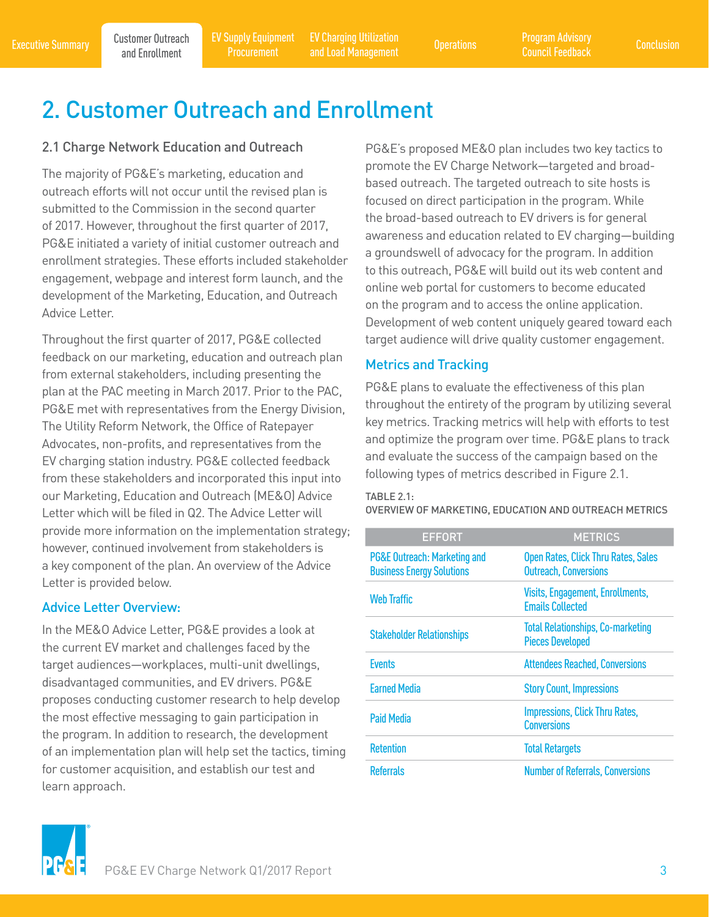Executive Summary Customer Outreach EV Supply Equipment EV Charging Utilization (Executive Summary Conclusion<br>Council Feedback and Enrollment Procurement and Load Management (Executive Suncil Feedback ) conclusion Procurement

EV Charging Utilization and Load Management Operations Program Advisory

# 2. Customer Outreach and Enrollment

# 2.1 Charge Network Education and Outreach

The majority of PG&E's marketing, education and outreach efforts will not occur until the revised plan is submitted to the Commission in the second quarter of 2017. However, throughout the first quarter of 2017, PG&E initiated a variety of initial customer outreach and enrollment strategies. These efforts included stakeholder engagement, webpage and interest form launch, and the development of the Marketing, Education, and Outreach Advice Letter.

Throughout the first quarter of 2017, PG&E collected feedback on our marketing, education and outreach plan from external stakeholders, including presenting the plan at the PAC meeting in March 2017. Prior to the PAC, PG&E met with representatives from the Energy Division, The Utility Reform Network, the Office of Ratepayer Advocates, non-profits, and representatives from the EV charging station industry. PG&E collected feedback from these stakeholders and incorporated this input into our Marketing, Education and Outreach (ME&O) Advice Letter which will be filed in Q2. The Advice Letter will provide more information on the implementation strategy; however, continued involvement from stakeholders is a key component of the plan. An overview of the Advice Letter is provided below.

### Advice Letter Overview:

In the ME&O Advice Letter, PG&E provides a look at the current EV market and challenges faced by the target audiences—workplaces, multi-unit dwellings, disadvantaged communities, and EV drivers. PG&E proposes conducting customer research to help develop the most effective messaging to gain participation in the program. In addition to research, the development of an implementation plan will help set the tactics, timing for customer acquisition, and establish our test and learn approach.

PG&E's proposed ME&O plan includes two key tactics to promote the EV Charge Network—targeted and broadbased outreach. The targeted outreach to site hosts is focused on direct participation in the program. While the broad-based outreach to EV drivers is for general awareness and education related to EV charging—building a groundswell of advocacy for the program. In addition to this outreach, PG&E will build out its web content and online web portal for customers to become educated on the program and to access the online application. Development of web content uniquely geared toward each target audience will drive quality customer engagement.

# Metrics and Tracking

PG&E plans to evaluate the effectiveness of this plan throughout the entirety of the program by utilizing several key metrics. Tracking metrics will help with efforts to test and optimize the program over time. PG&E plans to track and evaluate the success of the campaign based on the following types of metrics described in Figure 2.1.

#### TABLE 2.1:

OVERVIEW OF MARKETING, EDUCATION AND OUTREACH METRICS

| <b>EFFORT</b>                                                               | <b>METRICS</b>                                                      |
|-----------------------------------------------------------------------------|---------------------------------------------------------------------|
| <b>PG&amp;E Outreach: Marketing and</b><br><b>Business Energy Solutions</b> | Open Rates, Click Thru Rates, Sales<br><b>Outreach, Conversions</b> |
| <b>Web Traffic</b>                                                          | Visits, Engagement, Enrollments,<br><b>Emails Collected</b>         |
| <b>Stakeholder Relationships</b>                                            | <b>Total Relationships, Co-marketing</b><br><b>Pieces Developed</b> |
| <b>Events</b>                                                               | <b>Attendees Reached, Conversions</b>                               |
| <b>Earned Media</b>                                                         | <b>Story Count, Impressions</b>                                     |
| <b>Paid Media</b>                                                           | <b>Impressions, Click Thru Rates,</b><br><b>Conversions</b>         |
| <b>Retention</b>                                                            | <b>Total Retargets</b>                                              |
| <b>Referrals</b>                                                            | <b>Number of Referrals, Conversions</b>                             |

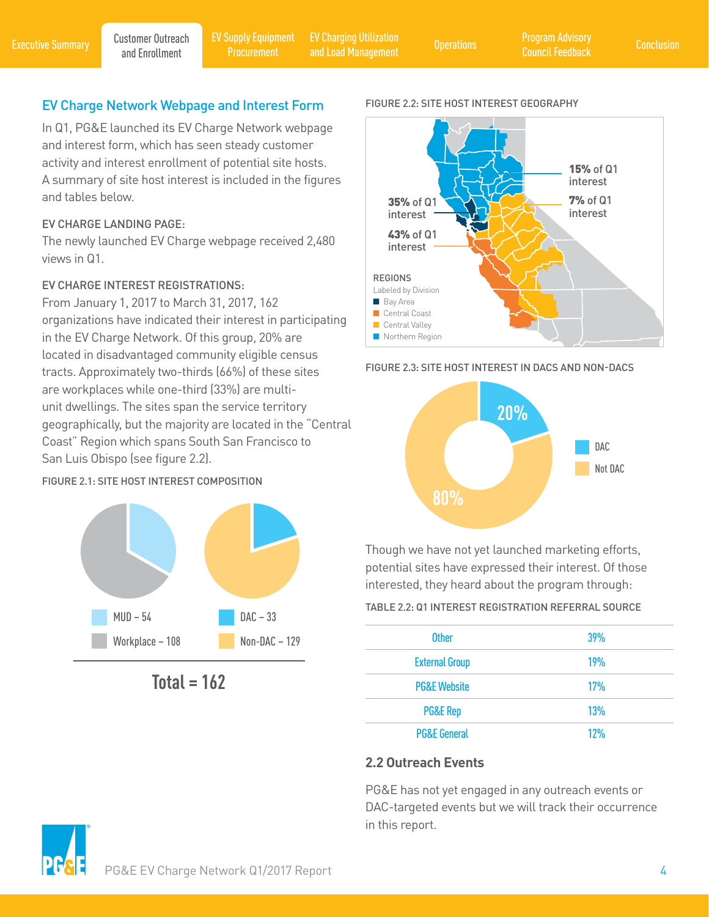Customer Outreach

# EV Charge Network Webpage and Interest Form

In Q1, PG&E launched its EV Charge Network webpage and interest form, which has seen steady customer activity and interest enrollment of potential site hosts. A summary of site host interest is included in the figures and tables below.

#### EV CHARGE LANDING PAGE:

The newly launched EV Charge webpage received 2,480 views in Q1.

### EV CHARGE INTEREST REGISTRATIONS:

From January 1, 2017 to March 31, 2017, 162 organizations have indicated their interest in participating in the EV Charge Network. Of this group, 20% are located in disadvantaged community eligible census tracts. Approximately two-thirds (66%) of these sites are workplaces while one-third (33%) are multiunit dwellings. The sites span the service territory geographically, but the majority are located in the "Central Coast" Region which spans South San Francisco to San Luis Obispo (see figure 2.2).

#### FIGURE 2.1: SITE HOST INTEREST COMPOSITION



**Total = 162**

#### FIGURE 2.2: SITE HOST INTEREST GEOGRAPHY



#### FIGURE 2.3: SITE HOST INTEREST IN DACS AND NON-DACS



Though we have not yet launched marketing efforts, potential sites have expressed their interest. Of those interested, they heard about the program through:

#### TABLE 2.2: Q1 INTEREST REGISTRATION REFERRAL SOURCE

| <b>Other</b>            | 39%        |
|-------------------------|------------|
| <b>External Group</b>   | <b>19%</b> |
| <b>PG&amp;E Website</b> | 17%        |
| <b>PG&amp;E Rep</b>     | 13%        |
| <b>PG&amp;E General</b> | 12%        |

### **2.2 Outreach Events**

PG&E has not yet engaged in any outreach events or DAC-targeted events but we will track their occurrence in this report.

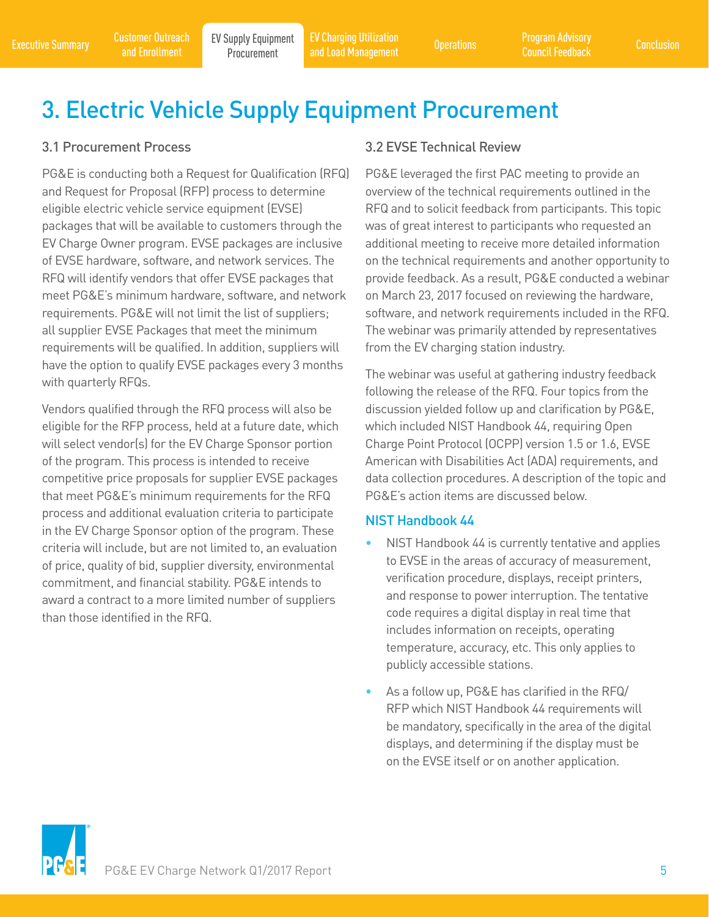EV Charging Utilization and Load Management Operations Program Advisory

# 3. Electric Vehicle Supply Equipment Procurement

# 3.1 Procurement Process

and Enrollment

PG&E is conducting both a Request for Qualification (RFQ) and Request for Proposal (RFP) process to determine eligible electric vehicle service equipment (EVSE) packages that will be available to customers through the EV Charge Owner program. EVSE packages are inclusive of EVSE hardware, software, and network services. The RFQ will identify vendors that offer EVSE packages that meet PG&E's minimum hardware, software, and network requirements. PG&E will not limit the list of suppliers; all supplier EVSE Packages that meet the minimum requirements will be qualified. In addition, suppliers will have the option to qualify EVSE packages every 3 months with quarterly RFQs.

Vendors qualified through the RFQ process will also be eligible for the RFP process, held at a future date, which will select vendor(s) for the EV Charge Sponsor portion of the program. This process is intended to receive competitive price proposals for supplier EVSE packages that meet PG&E's minimum requirements for the RFQ process and additional evaluation criteria to participate in the EV Charge Sponsor option of the program. These criteria will include, but are not limited to, an evaluation of price, quality of bid, supplier diversity, environmental commitment, and financial stability. PG&E intends to award a contract to a more limited number of suppliers than those identified in the RFQ.

# 3.2 EVSE Technical Review

PG&E leveraged the first PAC meeting to provide an overview of the technical requirements outlined in the RFQ and to solicit feedback from participants. This topic was of great interest to participants who requested an additional meeting to receive more detailed information on the technical requirements and another opportunity to provide feedback. As a result, PG&E conducted a webinar on March 23, 2017 focused on reviewing the hardware, software, and network requirements included in the RFQ. The webinar was primarily attended by representatives from the EV charging station industry.

The webinar was useful at gathering industry feedback following the release of the RFQ. Four topics from the discussion yielded follow up and clarification by PG&E, which included NIST Handbook 44, requiring Open Charge Point Protocol (OCPP) version 1.5 or 1.6, EVSE American with Disabilities Act (ADA) requirements, and data collection procedures. A description of the topic and PG&E's action items are discussed below.

### NIST Handbook 44

- NIST Handbook 44 is currently tentative and applies to EVSE in the areas of accuracy of measurement, verification procedure, displays, receipt printers, and response to power interruption. The tentative code requires a digital display in real time that includes information on receipts, operating temperature, accuracy, etc. This only applies to publicly accessible stations.
- As a follow up, PG&E has clarified in the RFQ/ RFP which NIST Handbook 44 requirements will be mandatory, specifically in the area of the digital displays, and determining if the display must be on the EVSE itself or on another application.

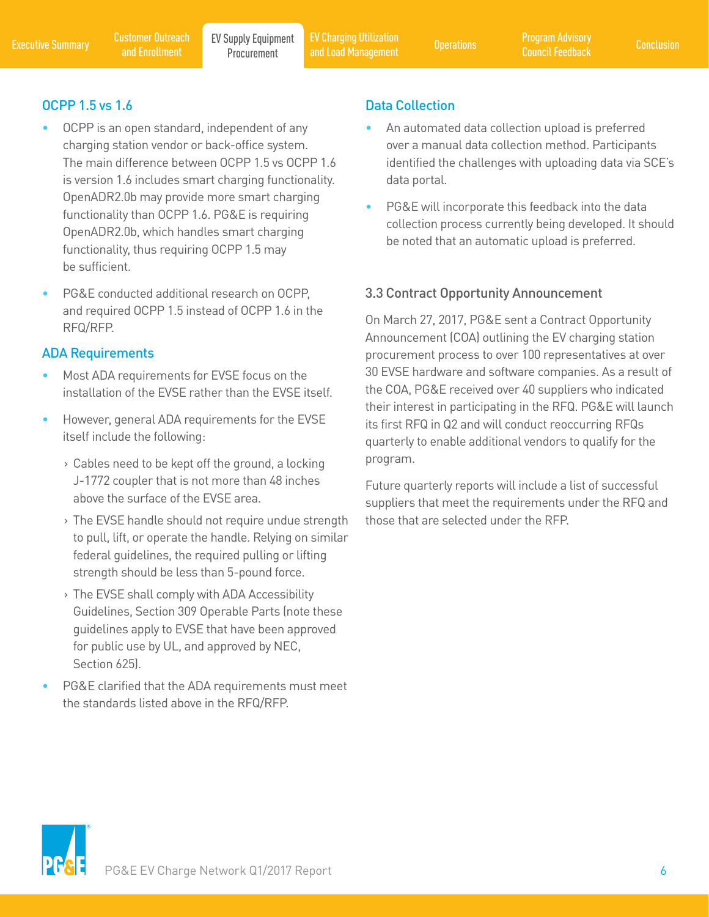Executive Summary Customer Outreach EV Supply Equipment EV Charging Utilization (Deperations Program Advisory<br>Conclusion Conclusion Procurement and Load Management (Deperations Council Feedback Conclusion EV Charging Utilization and Load Management Operations Program Advisory

# OCPP 1.5 vs 1.6

• OCPP is an open standard, independent of any charging station vendor or back-office system. The main difference between OCPP 1.5 vs OCPP 1.6 is version 1.6 includes smart charging functionality. OpenADR2.0b may provide more smart charging functionality than OCPP 1.6. PG&E is requiring OpenADR2.0b, which handles smart charging functionality, thus requiring OCPP 1.5 may be sufficient.

and Enrollment

PG&E conducted additional research on OCPP, and required OCPP 1.5 instead of OCPP 1.6 in the RFQ/RFP.

# ADA Requirements

- Most ADA requirements for EVSE focus on the installation of the EVSE rather than the EVSE itself.
- However, general ADA requirements for the EVSE itself include the following:
	- › Cables need to be kept off the ground, a locking J-1772 coupler that is not more than 48 inches above the surface of the EVSE area.
	- › The EVSE handle should not require undue strength to pull, lift, or operate the handle. Relying on similar federal guidelines, the required pulling or lifting strength should be less than 5-pound force.
	- › The EVSE shall comply with ADA Accessibility Guidelines, Section 309 Operable Parts (note these guidelines apply to EVSE that have been approved for public use by UL, and approved by NEC, Section 625).
- PG&E clarified that the ADA requirements must meet the standards listed above in the RFQ/RFP.

# Data Collection

- An automated data collection upload is preferred over a manual data collection method. Participants identified the challenges with uploading data via SCE's data portal.
- PG&E will incorporate this feedback into the data collection process currently being developed. It should be noted that an automatic upload is preferred.

# 3.3 Contract Opportunity Announcement

On March 27, 2017, PG&E sent a Contract Opportunity Announcement (COA) outlining the EV charging station procurement process to over 100 representatives at over 30 EVSE hardware and software companies. As a result of the COA, PG&E received over 40 suppliers who indicated their interest in participating in the RFQ. PG&E will launch its first RFQ in Q2 and will conduct reoccurring RFQs quarterly to enable additional vendors to qualify for the program.

Future quarterly reports will include a list of successful suppliers that meet the requirements under the RFQ and those that are selected under the RFP.

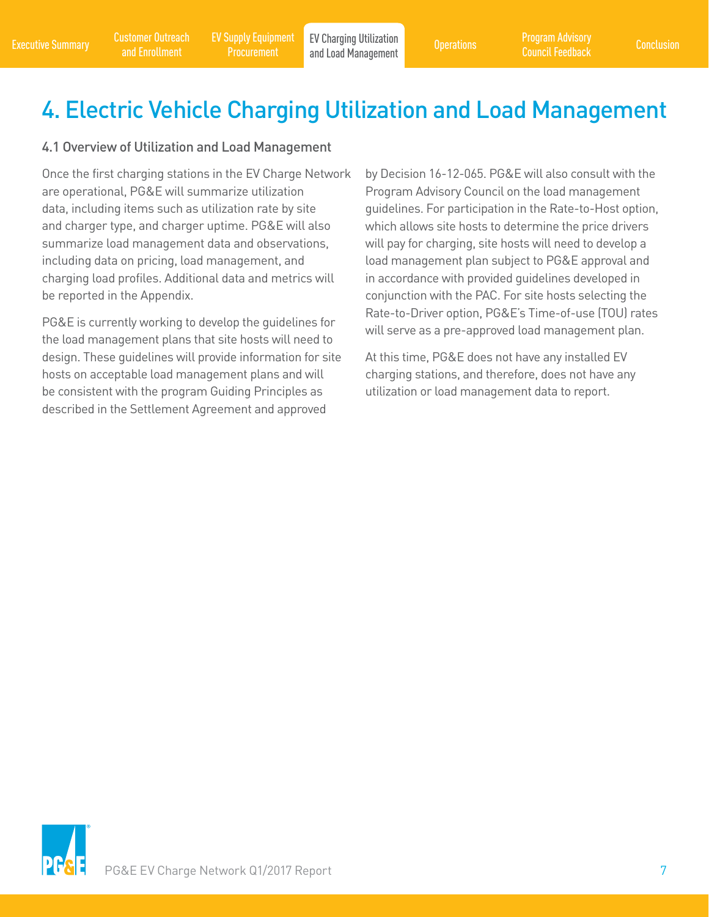# 4. Electric Vehicle Charging Utilization and Load Management

### 4.1 Overview of Utilization and Load Management

Once the first charging stations in the EV Charge Network are operational, PG&E will summarize utilization data, including items such as utilization rate by site and charger type, and charger uptime. PG&E will also summarize load management data and observations, including data on pricing, load management, and charging load profiles. Additional data and metrics will be reported in the Appendix.

PG&E is currently working to develop the guidelines for the load management plans that site hosts will need to design. These guidelines will provide information for site hosts on acceptable load management plans and will be consistent with the program Guiding Principles as described in the Settlement Agreement and approved

by Decision 16-12-065. PG&E will also consult with the Program Advisory Council on the load management guidelines. For participation in the Rate-to-Host option, which allows site hosts to determine the price drivers will pay for charging, site hosts will need to develop a load management plan subject to PG&E approval and in accordance with provided guidelines developed in conjunction with the PAC. For site hosts selecting the Rate-to-Driver option, PG&E's Time-of-use (TOU) rates will serve as a pre-approved load management plan.

At this time, PG&E does not have any installed EV charging stations, and therefore, does not have any utilization or load management data to report.

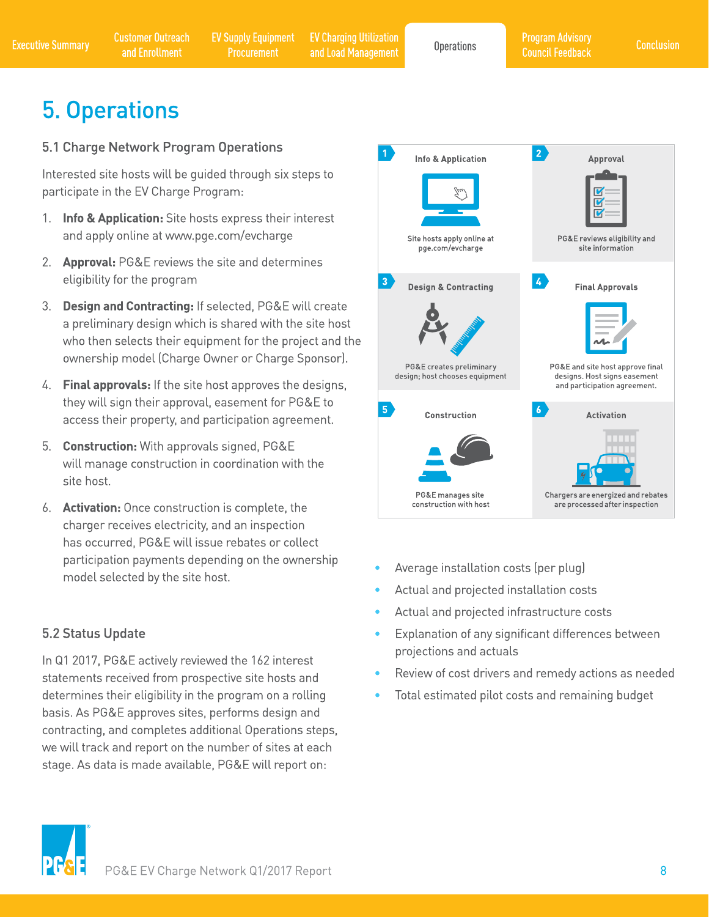# **5. Operations**

# 5.1 Charge Network Program Operations

Interested site hosts will be quided through six steps to participate in the EV Charge Program:

- 1. Info & Application: Site hosts express their interest and apply online at www.pge.com/evcharge
- 2. **Approval:** PG&E reviews the site and determines eligibility for the program
- 3. Design and Contracting: If selected, PG&E will create a preliminary design which is shared with the site host who then selects their equipment for the project and the ownership model (Charge Owner or Charge Sponsor).
- 4. Final approvals: If the site host approves the designs, they will sign their approval, easement for PG&E to access their property, and participation agreement.
- 5. Construction: With approvals signed, PG&E will manage construction in coordination with the site host.
- 6. Activation: Once construction is complete, the charger receives electricity, and an inspection has occurred, PG&E will issue rebates or collect participation payments depending on the ownership model selected by the site host.

# 5.2 Status Update

In Q1 2017, PG&E actively reviewed the 162 interest statements received from prospective site hosts and determines their eligibility in the program on a rolling basis. As PG&E approves sites, performs design and contracting, and completes additional Operations steps, we will track and report on the number of sites at each stage. As data is made available, PG&E will report on:



- Average installation costs (per plug)
- Actual and projected installation costs
- Actual and projected infrastructure costs
- $\bullet$ Explanation of any significant differences between projections and actuals
- Review of cost drivers and remedy actions as needed
- Total estimated pilot costs and remaining budget

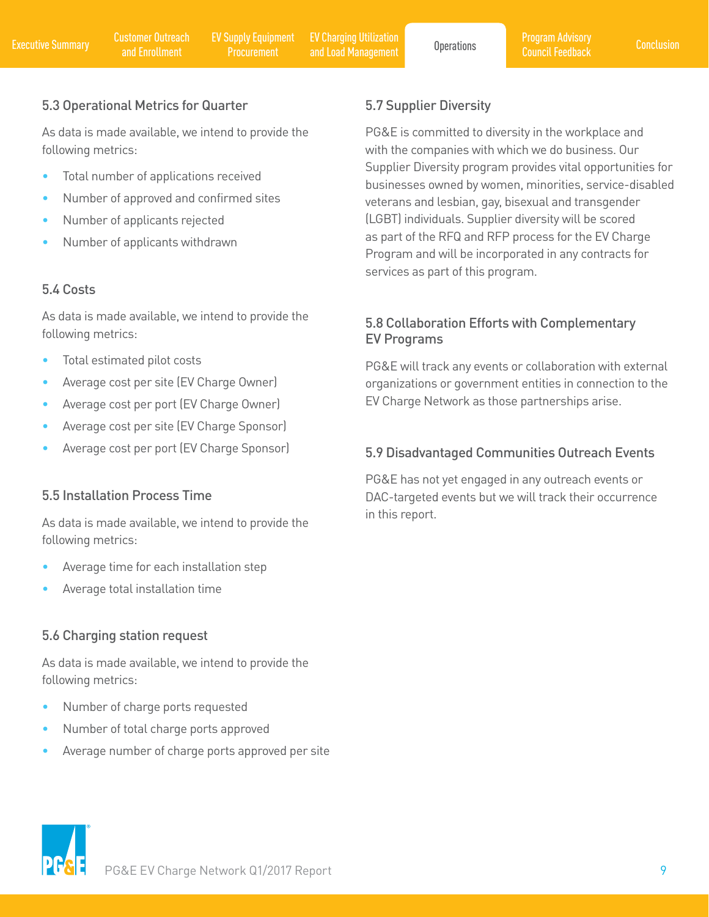# 5.3 Operational Metrics for Quarter

As data is made available, we intend to provide the following metrics:

- Total number of applications received
- Number of approved and confirmed sites
- Number of applicants rejected
- Number of applicants withdrawn

# 5.4 Costs

As data is made available, we intend to provide the following metrics:

- Total estimated pilot costs
- Average cost per site (EV Charge Owner)
- Average cost per port (EV Charge Owner)
- Average cost per site (EV Charge Sponsor)
- Average cost per port (EV Charge Sponsor)

### 5.5 Installation Process Time

As data is made available, we intend to provide the following metrics:

- Average time for each installation step
- Average total installation time

### 5.6 Charging station request

As data is made available, we intend to provide the following metrics:

- Number of charge ports requested
- Number of total charge ports approved
- Average number of charge ports approved per site

# 5.7 Supplier Diversity

PG&E is committed to diversity in the workplace and with the companies with which we do business. Our Supplier Diversity program provides vital opportunities for businesses owned by women, minorities, service-disabled veterans and lesbian, gay, bisexual and transgender (LGBT) individuals. Supplier diversity will be scored as part of the RFQ and RFP process for the EV Charge Program and will be incorporated in any contracts for services as part of this program.

# 5.8 Collaboration Efforts with Complementary EV Programs

PG&E will track any events or collaboration with external organizations or government entities in connection to the EV Charge Network as those partnerships arise.

# 5.9 Disadvantaged Communities Outreach Events

PG&E has not yet engaged in any outreach events or DAC-targeted events but we will track their occurrence in this report.

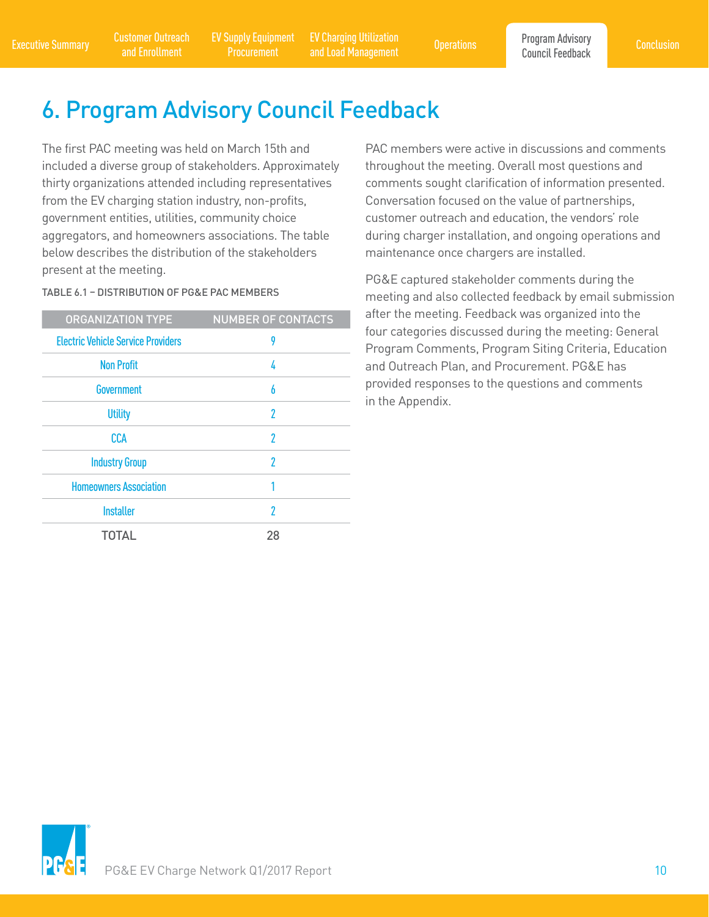Executive Summary Customer Outreach EV Supply Equipment EV Charging Utilization Concretions Program Advisory Conclusion<br>Council Feedback and Enrollment Procurement and Load Management Operations Council Feedback EV Supply Equipment Procurement

EV Charging Utilization and Load Management Operations

# 6. Program Advisory Council Feedback

The first PAC meeting was held on March 15th and included a diverse group of stakeholders. Approximately thirty organizations attended including representatives from the EV charging station industry, non-profits, government entities, utilities, community choice aggregators, and homeowners associations. The table below describes the distribution of the stakeholders present at the meeting.

TABLE 6.1 – DISTRIBUTION OF PG&E PAC MEMBERS

| <b>ORGANIZATION TYPE</b>                  | <b>NUMBER OF CONTACTS</b> |
|-------------------------------------------|---------------------------|
| <b>Electric Vehicle Service Providers</b> | 9                         |
| <b>Non Profit</b>                         | 4                         |
| <b>Government</b>                         | 6                         |
| <b>Utility</b>                            | 2                         |
| <b>CCA</b>                                | 2                         |
| <b>Industry Group</b>                     | 2                         |
| <b>Homeowners Association</b>             |                           |
| <b>Installer</b>                          | 2                         |
| TOTAL                                     | 28                        |

PAC members were active in discussions and comments throughout the meeting. Overall most questions and comments sought clarification of information presented. Conversation focused on the value of partnerships, customer outreach and education, the vendors' role during charger installation, and ongoing operations and maintenance once chargers are installed.

PG&E captured stakeholder comments during the meeting and also collected feedback by email submission after the meeting. Feedback was organized into the four categories discussed during the meeting: General Program Comments, Program Siting Criteria, Education and Outreach Plan, and Procurement. PG&E has provided responses to the questions and comments in the Appendix.

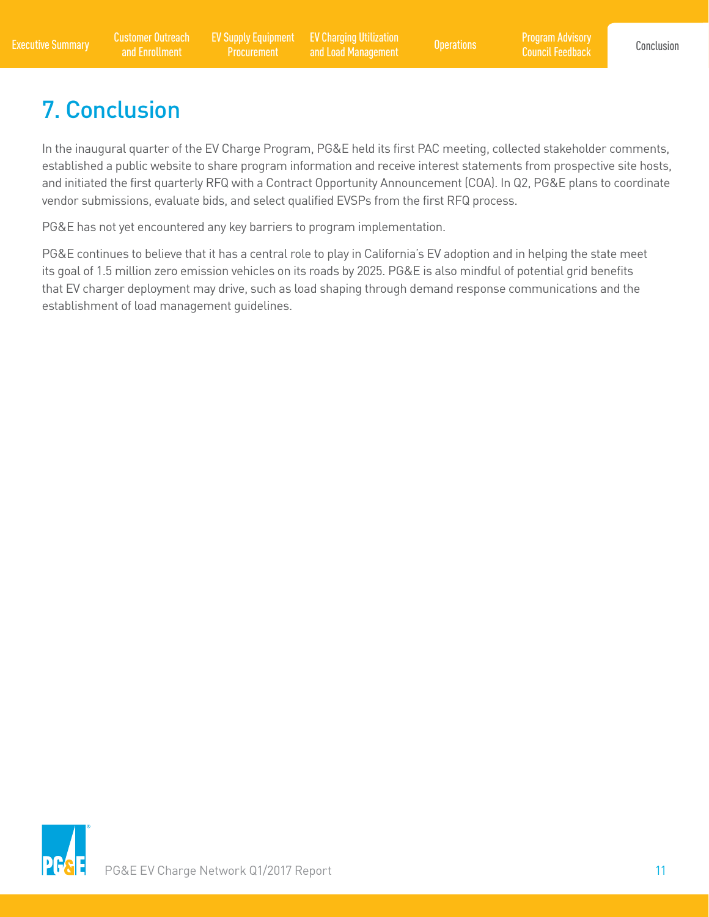# 7. Conclusion

In the inaugural quarter of the EV Charge Program, PG&E held its first PAC meeting, collected stakeholder comments, established a public website to share program information and receive interest statements from prospective site hosts, and initiated the first quarterly RFQ with a Contract Opportunity Announcement (COA). In Q2, PG&E plans to coordinate vendor submissions, evaluate bids, and select qualified EVSPs from the first RFQ process.

PG&E has not yet encountered any key barriers to program implementation.

PG&E continues to believe that it has a central role to play in California's EV adoption and in helping the state meet its goal of 1.5 million zero emission vehicles on its roads by 2025. PG&E is also mindful of potential grid benefits that EV charger deployment may drive, such as load shaping through demand response communications and the establishment of load management guidelines.

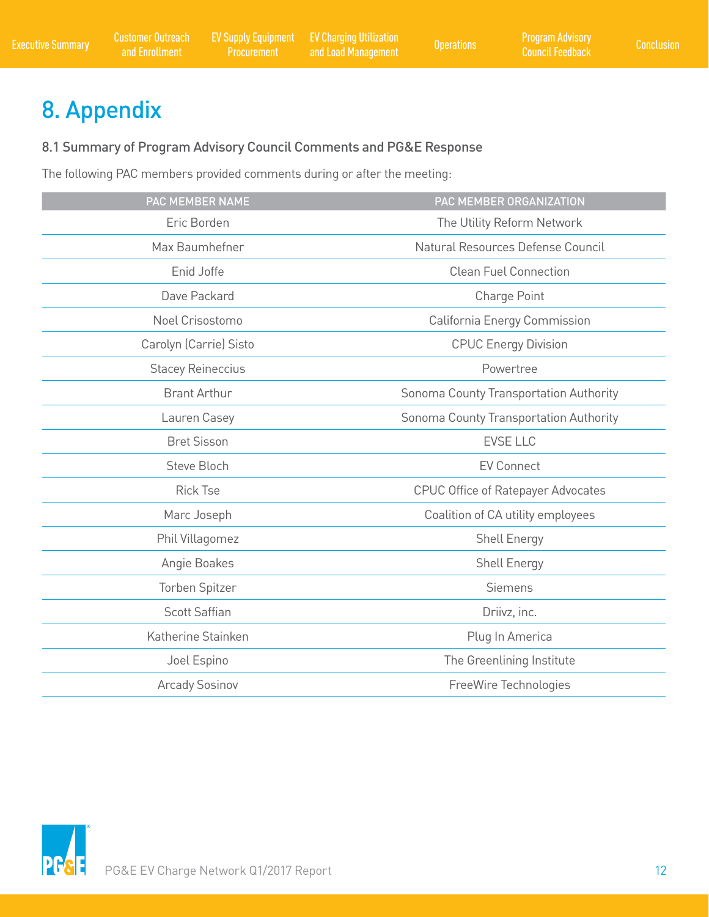# 8. Appendix

# 8.1 Summary of Program Advisory Council Comments and PG&E Response

The following PAC members provided comments during or after the meeting:

| <b>PAC MEMBER NAME</b>   | PAC MEMBER ORGANIZATION                   |
|--------------------------|-------------------------------------------|
|                          |                                           |
| Eric Borden              | The Utility Reform Network                |
| Max Baumhefner           | Natural Resources Defense Council         |
| Enid Joffe               | <b>Clean Fuel Connection</b>              |
| Dave Packard             | Charge Point                              |
| Noel Crisostomo          | California Energy Commission              |
| Carolyn (Carrie) Sisto   | <b>CPUC Energy Division</b>               |
| <b>Stacey Reineccius</b> | Powertree                                 |
| <b>Brant Arthur</b>      | Sonoma County Transportation Authority    |
| Lauren Casey             | Sonoma County Transportation Authority    |
| <b>Bret Sisson</b>       | <b>EVSE LLC</b>                           |
| <b>Steve Bloch</b>       | <b>EV Connect</b>                         |
| <b>Rick Tse</b>          | <b>CPUC Office of Ratepayer Advocates</b> |
| Marc Joseph              | Coalition of CA utility employees         |
| Phil Villagomez          | <b>Shell Energy</b>                       |
| Angie Boakes             | <b>Shell Energy</b>                       |
| <b>Torben Spitzer</b>    | <b>Siemens</b>                            |
| <b>Scott Saffian</b>     | Driivz, inc.                              |
| Katherine Stainken       | Plug In America                           |
| Joel Espino              | The Greenlining Institute                 |
| <b>Arcady Sosinov</b>    | FreeWire Technologies                     |

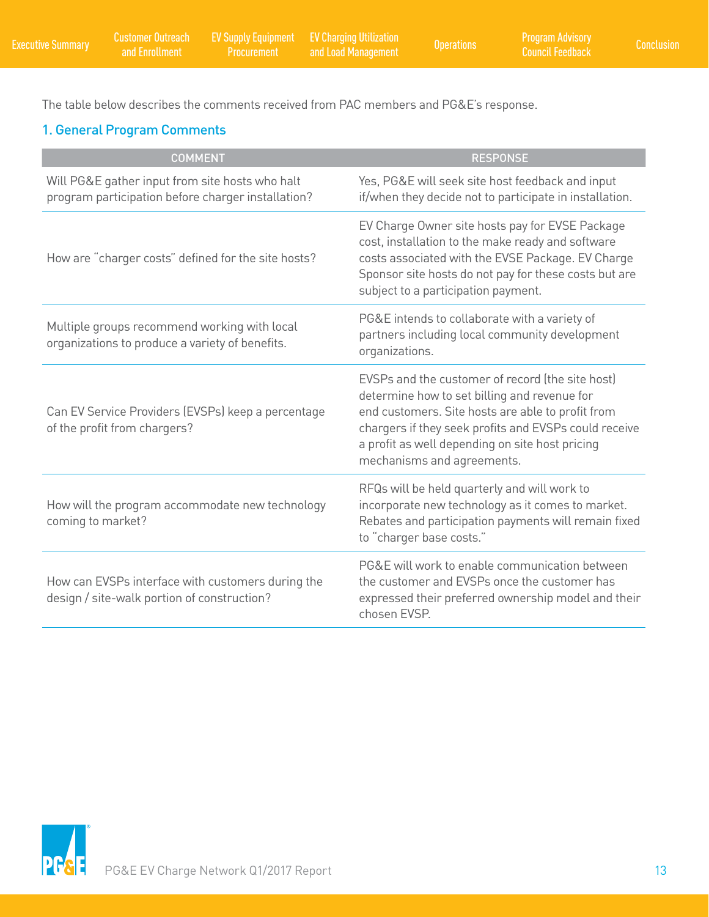The table below describes the comments received from PAC members and PG&E's response.

# 1. General Program Comments

| <b>COMMENT</b>                                                                                        | <b>RESPONSE</b>                                                                                                                                                                                                                                                                                 |
|-------------------------------------------------------------------------------------------------------|-------------------------------------------------------------------------------------------------------------------------------------------------------------------------------------------------------------------------------------------------------------------------------------------------|
| Will PG&E gather input from site hosts who halt<br>program participation before charger installation? | Yes, PG&E will seek site host feedback and input<br>if/when they decide not to participate in installation.                                                                                                                                                                                     |
| How are "charger costs" defined for the site hosts?                                                   | EV Charge Owner site hosts pay for EVSE Package<br>cost, installation to the make ready and software<br>costs associated with the EVSE Package. EV Charge<br>Sponsor site hosts do not pay for these costs but are<br>subject to a participation payment.                                       |
| Multiple groups recommend working with local<br>organizations to produce a variety of benefits.       | PG&E intends to collaborate with a variety of<br>partners including local community development<br>organizations.                                                                                                                                                                               |
| Can EV Service Providers (EVSPs) keep a percentage<br>of the profit from chargers?                    | EVSPs and the customer of record (the site host)<br>determine how to set billing and revenue for<br>end customers. Site hosts are able to profit from<br>chargers if they seek profits and EVSPs could receive<br>a profit as well depending on site host pricing<br>mechanisms and agreements. |
| How will the program accommodate new technology<br>coming to market?                                  | RFQs will be held quarterly and will work to<br>incorporate new technology as it comes to market.<br>Rebates and participation payments will remain fixed<br>to "charger base costs."                                                                                                           |
| How can EVSPs interface with customers during the<br>design / site-walk portion of construction?      | PG&E will work to enable communication between<br>the customer and EVSPs once the customer has<br>expressed their preferred ownership model and their<br>chosen EVSP.                                                                                                                           |

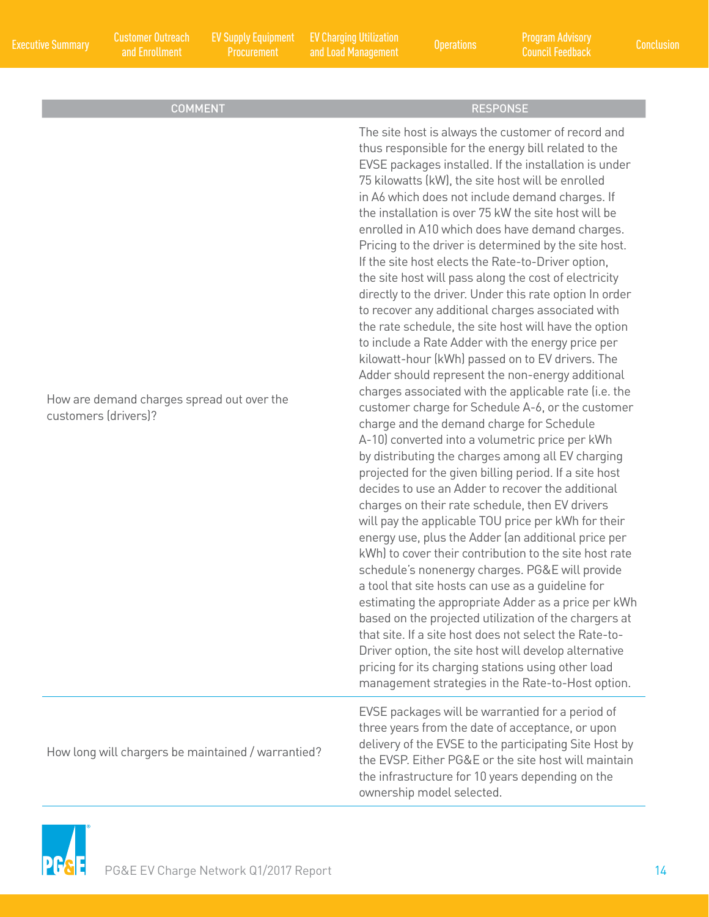and Enrollment

EV Supply Equipment

Executive Summary Customer Outreach EV Supply Equipment EV Charging Utilization Program Advisory Conclusion Conclusion<br>Conclusion Conclusion Customer Conclusion Conclusion Conclusion Conclusion Conclusion EV Charging Utilization and Load Management Operations Program Advisory

Council Feedback

| <b>COMMENT</b>                                                     | <b>RESPONSE</b>                                                                                                                                                                                                                                                                                                                                                                                                                                                                                                                                                                                                                                                                                                                                                                                                                                                                                                                                                                                                                                                                                                                                                                                                                                                                                                                                                                                                                                                                                                                                                                                                                                                                                                                                                                                                                                                                                                                                                        |
|--------------------------------------------------------------------|------------------------------------------------------------------------------------------------------------------------------------------------------------------------------------------------------------------------------------------------------------------------------------------------------------------------------------------------------------------------------------------------------------------------------------------------------------------------------------------------------------------------------------------------------------------------------------------------------------------------------------------------------------------------------------------------------------------------------------------------------------------------------------------------------------------------------------------------------------------------------------------------------------------------------------------------------------------------------------------------------------------------------------------------------------------------------------------------------------------------------------------------------------------------------------------------------------------------------------------------------------------------------------------------------------------------------------------------------------------------------------------------------------------------------------------------------------------------------------------------------------------------------------------------------------------------------------------------------------------------------------------------------------------------------------------------------------------------------------------------------------------------------------------------------------------------------------------------------------------------------------------------------------------------------------------------------------------------|
| How are demand charges spread out over the<br>customers (drivers)? | The site host is always the customer of record and<br>thus responsible for the energy bill related to the<br>EVSE packages installed. If the installation is under<br>75 kilowatts (kW), the site host will be enrolled<br>in A6 which does not include demand charges. If<br>the installation is over 75 kW the site host will be<br>enrolled in A10 which does have demand charges.<br>Pricing to the driver is determined by the site host.<br>If the site host elects the Rate-to-Driver option,<br>the site host will pass along the cost of electricity<br>directly to the driver. Under this rate option In order<br>to recover any additional charges associated with<br>the rate schedule, the site host will have the option<br>to include a Rate Adder with the energy price per<br>kilowatt-hour (kWh) passed on to EV drivers. The<br>Adder should represent the non-energy additional<br>charges associated with the applicable rate (i.e. the<br>customer charge for Schedule A-6, or the customer<br>charge and the demand charge for Schedule<br>A-10) converted into a volumetric price per kWh<br>by distributing the charges among all EV charging<br>projected for the given billing period. If a site host<br>decides to use an Adder to recover the additional<br>charges on their rate schedule, then EV drivers<br>will pay the applicable TOU price per kWh for their<br>energy use, plus the Adder (an additional price per<br>kWh) to cover their contribution to the site host rate<br>schedule's nonenergy charges. PG&E will provide<br>a tool that site hosts can use as a guideline for<br>estimating the appropriate Adder as a price per kWh<br>based on the projected utilization of the chargers at<br>that site. If a site host does not select the Rate-to-<br>Driver option, the site host will develop alternative<br>pricing for its charging stations using other load<br>management strategies in the Rate-to-Host option. |
| How long will chargers be maintained / warrantied?                 | EVSE packages will be warrantied for a period of<br>three years from the date of acceptance, or upon<br>delivery of the EVSE to the participating Site Host by<br>the EVSP. Either PG&E or the site host will maintain<br>the infrastructure for 10 years depending on the                                                                                                                                                                                                                                                                                                                                                                                                                                                                                                                                                                                                                                                                                                                                                                                                                                                                                                                                                                                                                                                                                                                                                                                                                                                                                                                                                                                                                                                                                                                                                                                                                                                                                             |

ownership model selected.

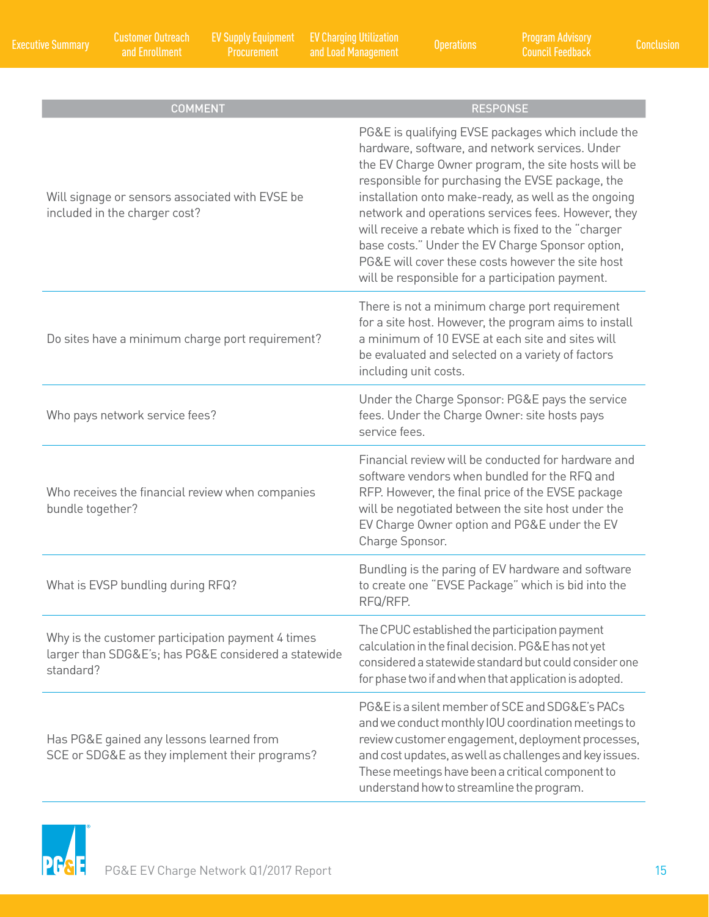| <b>COMMENT</b>                                                                                                         | <b>RESPONSE</b>                                                                                                                                                                                                                                                                                                                                                                                                                                                                                                                                      |
|------------------------------------------------------------------------------------------------------------------------|------------------------------------------------------------------------------------------------------------------------------------------------------------------------------------------------------------------------------------------------------------------------------------------------------------------------------------------------------------------------------------------------------------------------------------------------------------------------------------------------------------------------------------------------------|
| Will signage or sensors associated with EVSE be<br>included in the charger cost?                                       | PG&E is qualifying EVSE packages which include the<br>hardware, software, and network services. Under<br>the EV Charge Owner program, the site hosts will be<br>responsible for purchasing the EVSE package, the<br>installation onto make-ready, as well as the ongoing<br>network and operations services fees. However, they<br>will receive a rebate which is fixed to the "charger<br>base costs." Under the EV Charge Sponsor option,<br>PG&E will cover these costs however the site host<br>will be responsible for a participation payment. |
| Do sites have a minimum charge port requirement?                                                                       | There is not a minimum charge port requirement<br>for a site host. However, the program aims to install<br>a minimum of 10 EVSE at each site and sites will<br>be evaluated and selected on a variety of factors<br>including unit costs.                                                                                                                                                                                                                                                                                                            |
| Who pays network service fees?                                                                                         | Under the Charge Sponsor: PG&E pays the service<br>fees. Under the Charge Owner: site hosts pays<br>service fees.                                                                                                                                                                                                                                                                                                                                                                                                                                    |
| Who receives the financial review when companies<br>bundle together?                                                   | Financial review will be conducted for hardware and<br>software vendors when bundled for the RFQ and<br>RFP. However, the final price of the EVSE package<br>will be negotiated between the site host under the<br>EV Charge Owner option and PG&E under the EV<br>Charge Sponsor.                                                                                                                                                                                                                                                                   |
| What is EVSP bundling during RFQ?                                                                                      | Bundling is the paring of EV hardware and software<br>to create one "EVSE Package" which is bid into the<br>RFQ/RFP.                                                                                                                                                                                                                                                                                                                                                                                                                                 |
| Why is the customer participation payment 4 times<br>larger than SDG&E's; has PG&E considered a statewide<br>standard? | The CPUC established the participation payment<br>calculation in the final decision. PG&E has not yet<br>considered a statewide standard but could consider one<br>for phase two if and when that application is adopted.                                                                                                                                                                                                                                                                                                                            |
| Has PG&E gained any lessons learned from<br>SCE or SDG&E as they implement their programs?                             | PG&E is a silent member of SCE and SDG&E's PACs<br>and we conduct monthly IOU coordination meetings to<br>review customer engagement, deployment processes,<br>and cost updates, as well as challenges and key issues.<br>These meetings have been a critical component to<br>understand how to streamline the program.                                                                                                                                                                                                                              |

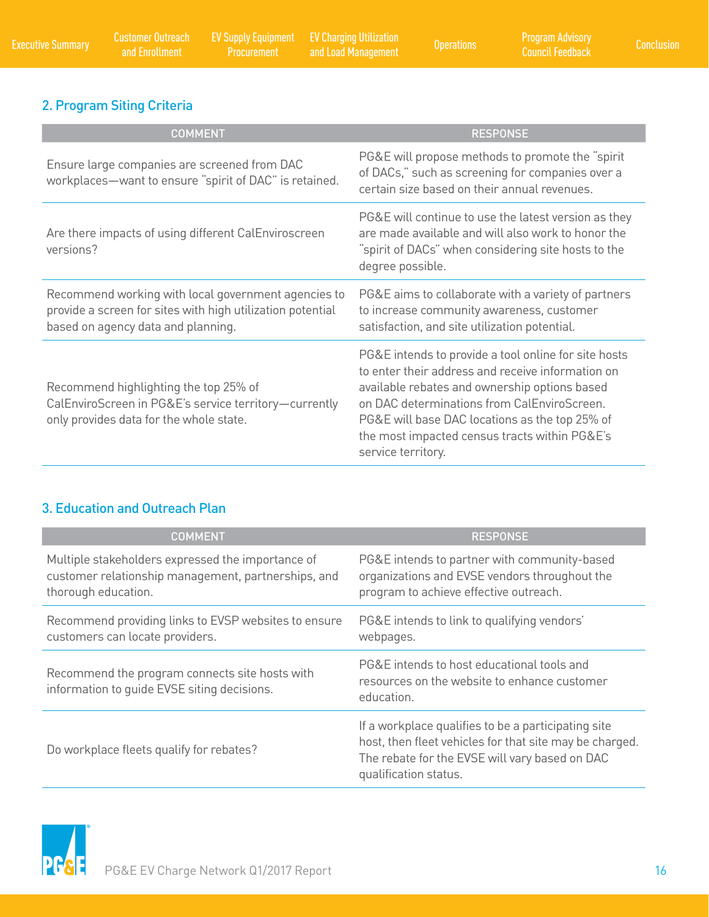# 2. Program Siting Criteria

| <b>COMMENT</b>                                                                                                                                          | <b>RESPONSE</b>                                                                                                                                                                                                                                                                                                                    |
|---------------------------------------------------------------------------------------------------------------------------------------------------------|------------------------------------------------------------------------------------------------------------------------------------------------------------------------------------------------------------------------------------------------------------------------------------------------------------------------------------|
| Ensure large companies are screened from DAC<br>workplaces-want to ensure "spirit of DAC" is retained.                                                  | PG&E will propose methods to promote the "spirit"<br>of DACs," such as screening for companies over a<br>certain size based on their annual revenues.                                                                                                                                                                              |
| Are there impacts of using different CalEnviroscreen<br>versions?                                                                                       | PG&E will continue to use the latest version as they<br>are made available and will also work to honor the<br>"spirit of DACs" when considering site hosts to the<br>degree possible.                                                                                                                                              |
| Recommend working with local government agencies to<br>provide a screen for sites with high utilization potential<br>based on agency data and planning. | PG&E aims to collaborate with a variety of partners<br>to increase community awareness, customer<br>satisfaction, and site utilization potential.                                                                                                                                                                                  |
| Recommend highlighting the top 25% of<br>CalEnviroScreen in PG&E's service territory-currently<br>only provides data for the whole state.               | PG&E intends to provide a tool online for site hosts<br>to enter their address and receive information on<br>available rebates and ownership options based<br>on DAC determinations from CalEnviroScreen.<br>PG&E will base DAC locations as the top 25% of<br>the most impacted census tracts within PG&E's<br>service territory. |

# 3. Education and Outreach Plan

| <b>COMMENT</b>                                                                                                                  | <b>RESPONSE</b>                                                                                                                                                                           |
|---------------------------------------------------------------------------------------------------------------------------------|-------------------------------------------------------------------------------------------------------------------------------------------------------------------------------------------|
| Multiple stakeholders expressed the importance of<br>customer relationship management, partnerships, and<br>thorough education. | PG&E intends to partner with community-based<br>organizations and EVSE vendors throughout the<br>program to achieve effective outreach.                                                   |
| Recommend providing links to EVSP websites to ensure<br>customers can locate providers.                                         | PG&E intends to link to qualifying vendors'<br>webpages.                                                                                                                                  |
| Recommend the program connects site hosts with<br>information to guide EVSE siting decisions.                                   | PG&E intends to host educational tools and<br>resources on the website to enhance customer<br>education.                                                                                  |
| Do workplace fleets qualify for rebates?                                                                                        | If a workplace qualifies to be a participating site<br>host, then fleet vehicles for that site may be charged.<br>The rebate for the EVSE will vary based on DAC<br>qualification status. |

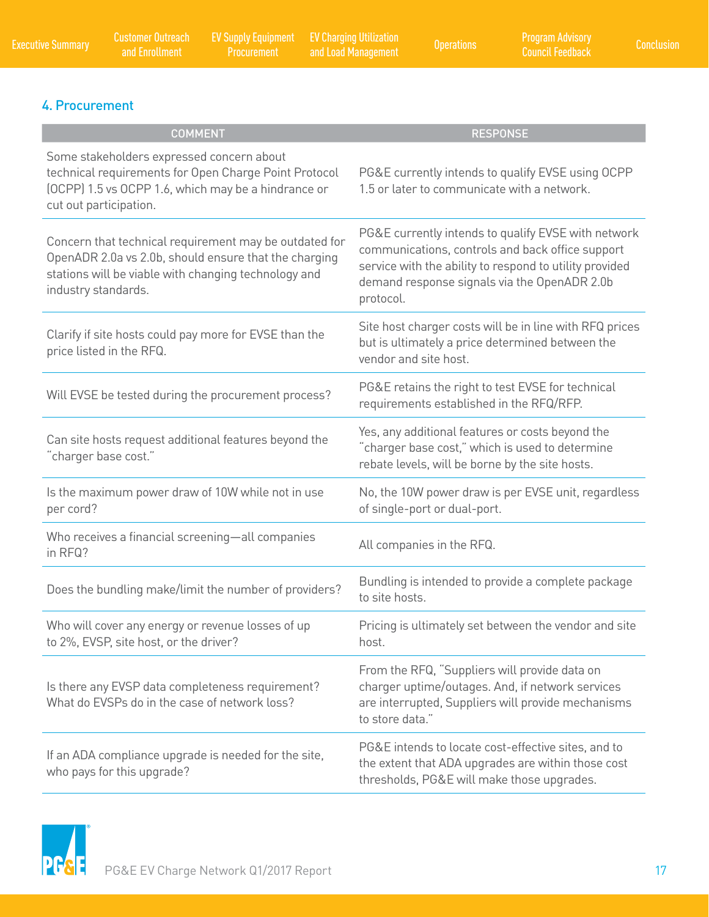EV Charging Utilization

# 4. Procurement

| <b>COMMENT</b>                                                                                                                                                                                 | <b>RESPONSE</b>                                                                                                                                                                                                                 |
|------------------------------------------------------------------------------------------------------------------------------------------------------------------------------------------------|---------------------------------------------------------------------------------------------------------------------------------------------------------------------------------------------------------------------------------|
| Some stakeholders expressed concern about<br>technical requirements for Open Charge Point Protocol<br>(OCPP) 1.5 vs OCPP 1.6, which may be a hindrance or<br>cut out participation.            | PG&E currently intends to qualify EVSE using OCPP<br>1.5 or later to communicate with a network.                                                                                                                                |
| Concern that technical requirement may be outdated for<br>OpenADR 2.0a vs 2.0b, should ensure that the charging<br>stations will be viable with changing technology and<br>industry standards. | PG&E currently intends to qualify EVSE with network<br>communications, controls and back office support<br>service with the ability to respond to utility provided<br>demand response signals via the OpenADR 2.0b<br>protocol. |
| Clarify if site hosts could pay more for EVSE than the<br>price listed in the RFQ.                                                                                                             | Site host charger costs will be in line with RFQ prices<br>but is ultimately a price determined between the<br>vendor and site host.                                                                                            |
| Will EVSE be tested during the procurement process?                                                                                                                                            | PG&E retains the right to test EVSE for technical<br>requirements established in the RFQ/RFP.                                                                                                                                   |
| Can site hosts request additional features beyond the<br>'charger base cost."                                                                                                                  | Yes, any additional features or costs beyond the<br>"charger base cost," which is used to determine<br>rebate levels, will be borne by the site hosts.                                                                          |
| Is the maximum power draw of 10W while not in use<br>per cord?                                                                                                                                 | No, the 10W power draw is per EVSE unit, regardless<br>of single-port or dual-port.                                                                                                                                             |
| Who receives a financial screening-all companies<br>in RFQ?                                                                                                                                    | All companies in the RFQ.                                                                                                                                                                                                       |
| Does the bundling make/limit the number of providers?                                                                                                                                          | Bundling is intended to provide a complete package<br>to site hosts.                                                                                                                                                            |
| Who will cover any energy or revenue losses of up<br>to 2%, EVSP, site host, or the driver?                                                                                                    | Pricing is ultimately set between the vendor and site<br>host.                                                                                                                                                                  |
| Is there any EVSP data completeness requirement?<br>What do EVSPs do in the case of network loss?                                                                                              | From the RFQ, "Suppliers will provide data on<br>charger uptime/outages. And, if network services<br>are interrupted, Suppliers will provide mechanisms<br>to store data."                                                      |
| If an ADA compliance upgrade is needed for the site,<br>who pays for this upgrade?                                                                                                             | PG&E intends to locate cost-effective sites, and to<br>the extent that ADA upgrades are within those cost<br>thresholds, PG&E will make those upgrades.                                                                         |

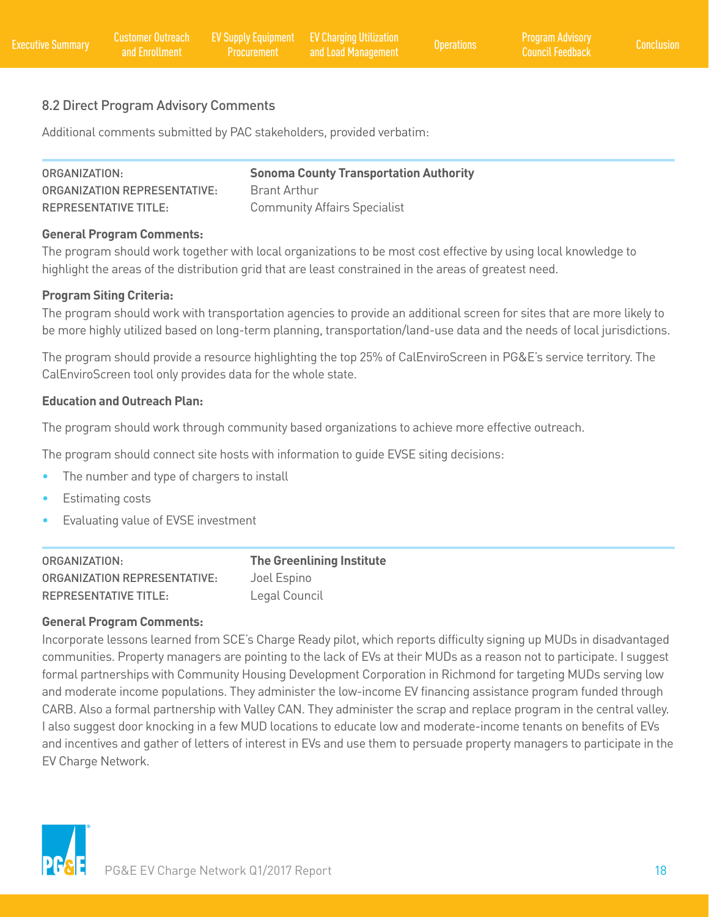# 8.2 Direct Program Advisory Comments

Additional comments submitted by PAC stakeholders, provided verbatim:

| ORGANIZATION:                       | <b>Sonoma County Transportation Authority</b> |
|-------------------------------------|-----------------------------------------------|
| <b>ORGANIZATION REPRESENTATIVE:</b> | <b>Brant Arthur</b>                           |
| <b>REPRESENTATIVE TITLE:</b>        | <b>Community Affairs Specialist</b>           |

#### **General Program Comments:**

The program should work together with local organizations to be most cost effective by using local knowledge to highlight the areas of the distribution grid that are least constrained in the areas of greatest need.

#### **Program Siting Criteria:**

The program should work with transportation agencies to provide an additional screen for sites that are more likely to be more highly utilized based on long-term planning, transportation/land-use data and the needs of local jurisdictions.

The program should provide a resource highlighting the top 25% of CalEnviroScreen in PG&E's service territory. The CalEnviroScreen tool only provides data for the whole state.

#### **Education and Outreach Plan:**

The program should work through community based organizations to achieve more effective outreach.

The program should connect site hosts with information to guide EVSE siting decisions:

- The number and type of chargers to install
- Estimating costs
- Evaluating value of EVSE investment

| ORGANIZATION:                       | <b>The Greenlining Institute</b> |
|-------------------------------------|----------------------------------|
| <b>ORGANIZATION REPRESENTATIVE:</b> | Joel Espino                      |
| <b>REPRESENTATIVE TITLE:</b>        | Legal Council                    |

#### **General Program Comments:**

Incorporate lessons learned from SCE's Charge Ready pilot, which reports difficulty signing up MUDs in disadvantaged communities. Property managers are pointing to the lack of EVs at their MUDs as a reason not to participate. I suggest formal partnerships with Community Housing Development Corporation in Richmond for targeting MUDs serving low and moderate income populations. They administer the low-income EV financing assistance program funded through CARB. Also a formal partnership with Valley CAN. They administer the scrap and replace program in the central valley. I also suggest door knocking in a few MUD locations to educate low and moderate-income tenants on benefits of EVs and incentives and gather of letters of interest in EVs and use them to persuade property managers to participate in the EV Charge Network.

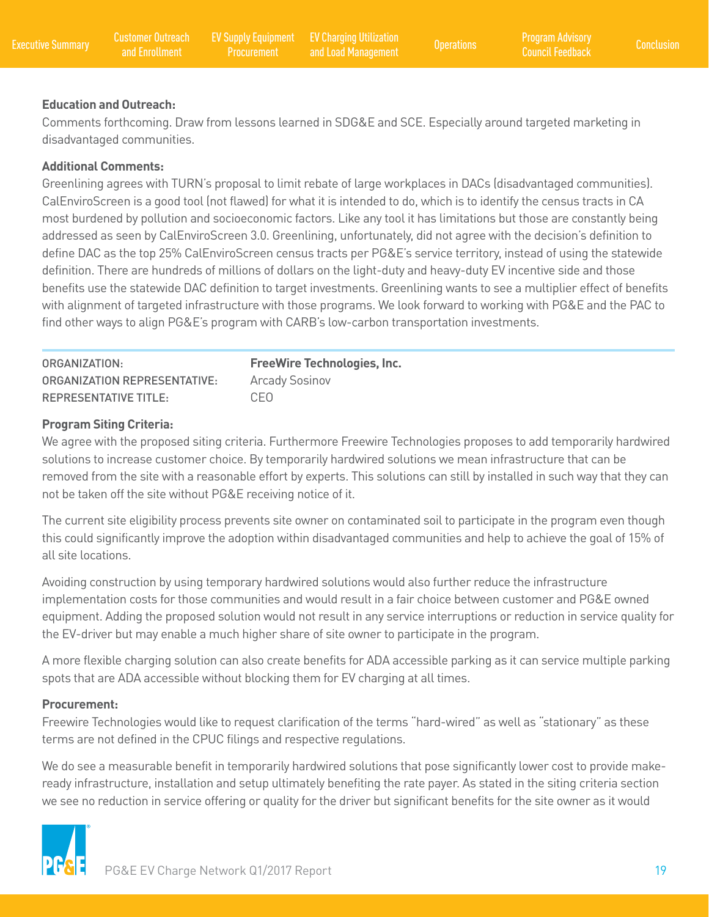#### **Education and Outreach:**

Comments forthcoming. Draw from lessons learned in SDG&E and SCE. Especially around targeted marketing in disadvantaged communities.

#### **Additional Comments:**

Greenlining agrees with TURN's proposal to limit rebate of large workplaces in DACs (disadvantaged communities). CalEnviroScreen is a good tool (not flawed) for what it is intended to do, which is to identify the census tracts in CA most burdened by pollution and socioeconomic factors. Like any tool it has limitations but those are constantly being addressed as seen by CalEnviroScreen 3.0. Greenlining, unfortunately, did not agree with the decision's definition to define DAC as the top 25% CalEnviroScreen census tracts per PG&E's service territory, instead of using the statewide definition. There are hundreds of millions of dollars on the light-duty and heavy-duty EV incentive side and those benefits use the statewide DAC definition to target investments. Greenlining wants to see a multiplier effect of benefits with alignment of targeted infrastructure with those programs. We look forward to working with PG&E and the PAC to find other ways to align PG&E's program with CARB's low-carbon transportation investments.

| ORGANIZATION:                       | <b>FreeWire Technologies, Inc.</b> |
|-------------------------------------|------------------------------------|
| <b>ORGANIZATION REPRESENTATIVE:</b> | <b>Arcady Sosinov</b>              |
| <b>REPRESENTATIVE TITLE:</b>        | CEO.                               |

#### **Program Siting Criteria:**

We agree with the proposed siting criteria. Furthermore Freewire Technologies proposes to add temporarily hardwired solutions to increase customer choice. By temporarily hardwired solutions we mean infrastructure that can be removed from the site with a reasonable effort by experts. This solutions can still by installed in such way that they can not be taken off the site without PG&E receiving notice of it.

The current site eligibility process prevents site owner on contaminated soil to participate in the program even though this could significantly improve the adoption within disadvantaged communities and help to achieve the goal of 15% of all site locations.

Avoiding construction by using temporary hardwired solutions would also further reduce the infrastructure implementation costs for those communities and would result in a fair choice between customer and PG&E owned equipment. Adding the proposed solution would not result in any service interruptions or reduction in service quality for the EV-driver but may enable a much higher share of site owner to participate in the program.

A more flexible charging solution can also create benefits for ADA accessible parking as it can service multiple parking spots that are ADA accessible without blocking them for EV charging at all times.

#### **Procurement:**

Freewire Technologies would like to request clarification of the terms "hard-wired" as well as "stationary" as these terms are not defined in the CPUC filings and respective regulations.

We do see a measurable benefit in temporarily hardwired solutions that pose significantly lower cost to provide makeready infrastructure, installation and setup ultimately benefiting the rate payer. As stated in the siting criteria section we see no reduction in service offering or quality for the driver but significant benefits for the site owner as it would

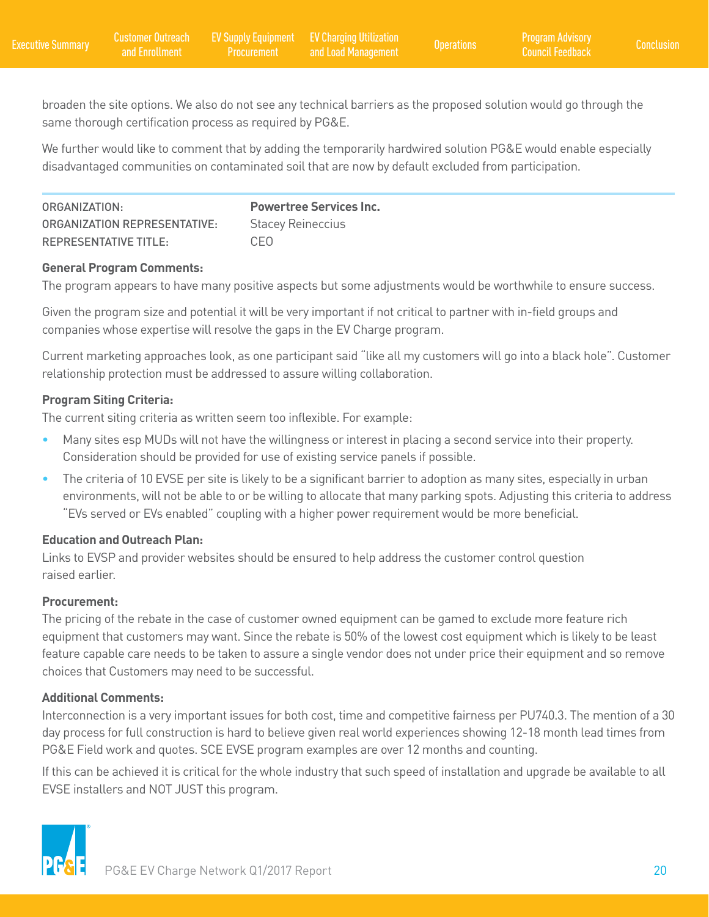broaden the site options. We also do not see any technical barriers as the proposed solution would go through the same thorough certification process as required by PG&E.

We further would like to comment that by adding the temporarily hardwired solution PG&E would enable especially disadvantaged communities on contaminated soil that are now by default excluded from participation.

| ORGANIZATION:                | <b>Powertree Services Inc.</b> |
|------------------------------|--------------------------------|
| ORGANIZATION REPRESENTATIVE: | <b>Stacey Reineccius</b>       |
| <b>REPRESENTATIVE TITLE:</b> | C.EO                           |

# **General Program Comments:**

The program appears to have many positive aspects but some adjustments would be worthwhile to ensure success.

Given the program size and potential it will be very important if not critical to partner with in-field groups and companies whose expertise will resolve the gaps in the EV Charge program.

Current marketing approaches look, as one participant said "like all my customers will go into a black hole". Customer relationship protection must be addressed to assure willing collaboration.

### **Program Siting Criteria:**

The current siting criteria as written seem too inflexible. For example:

- Many sites esp MUDs will not have the willingness or interest in placing a second service into their property. Consideration should be provided for use of existing service panels if possible.
- The criteria of 10 EVSE per site is likely to be a significant barrier to adoption as many sites, especially in urban environments, will not be able to or be willing to allocate that many parking spots. Adjusting this criteria to address "EVs served or EVs enabled" coupling with a higher power requirement would be more beneficial.

#### **Education and Outreach Plan:**

Links to EVSP and provider websites should be ensured to help address the customer control question raised earlier.

### **Procurement:**

The pricing of the rebate in the case of customer owned equipment can be gamed to exclude more feature rich equipment that customers may want. Since the rebate is 50% of the lowest cost equipment which is likely to be least feature capable care needs to be taken to assure a single vendor does not under price their equipment and so remove choices that Customers may need to be successful.

### **Additional Comments:**

Interconnection is a very important issues for both cost, time and competitive fairness per PU740.3. The mention of a 30 day process for full construction is hard to believe given real world experiences showing 12-18 month lead times from PG&E Field work and quotes. SCE EVSE program examples are over 12 months and counting.

If this can be achieved it is critical for the whole industry that such speed of installation and upgrade be available to all EVSE installers and NOT JUST this program.

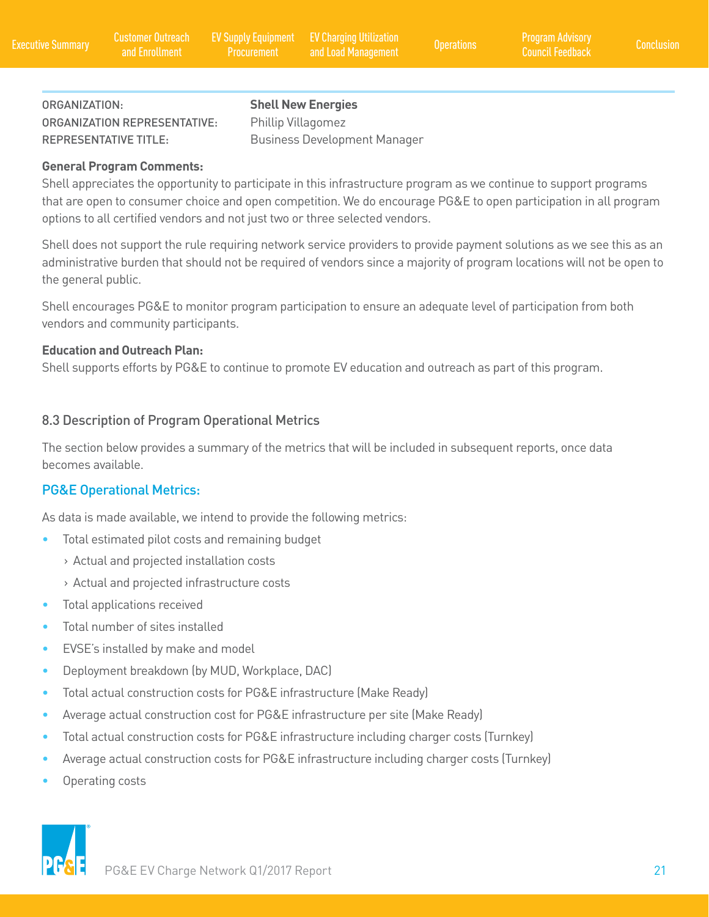ORGANIZATION: **Shell New Energies**  ORGANIZATION REPRESENTATIVE: Phillip Villagomez REPRESENTATIVE TITLE: Business Development Manager

#### **General Program Comments:**

Shell appreciates the opportunity to participate in this infrastructure program as we continue to support programs that are open to consumer choice and open competition. We do encourage PG&E to open participation in all program options to all certified vendors and not just two or three selected vendors.

Shell does not support the rule requiring network service providers to provide payment solutions as we see this as an administrative burden that should not be required of vendors since a majority of program locations will not be open to the general public.

Shell encourages PG&E to monitor program participation to ensure an adequate level of participation from both vendors and community participants.

#### **Education and Outreach Plan:**

Shell supports efforts by PG&E to continue to promote EV education and outreach as part of this program.

### 8.3 Description of Program Operational Metrics

The section below provides a summary of the metrics that will be included in subsequent reports, once data becomes available.

### PG&E Operational Metrics:

As data is made available, we intend to provide the following metrics:

- Total estimated pilot costs and remaining budget
	- › Actual and projected installation costs
	- › Actual and projected infrastructure costs
- Total applications received
- Total number of sites installed
- EVSE's installed by make and model
- Deployment breakdown (by MUD, Workplace, DAC)
- Total actual construction costs for PG&E infrastructure (Make Ready)
- Average actual construction cost for PG&E infrastructure per site (Make Ready)
- Total actual construction costs for PG&E infrastructure including charger costs (Turnkey)
- Average actual construction costs for PG&E infrastructure including charger costs (Turnkey)
- Operating costs



PG&E EV Charge Network Q1/2017 Report 21